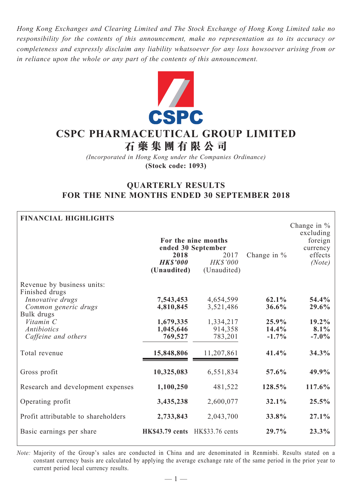*Hong Kong Exchanges and Clearing Limited and The Stock Exchange of Hong Kong Limited take no responsibility for the contents of this announcement, make no representation as to its accuracy or completeness and expressly disclaim any liability whatsoever for any loss howsoever arising from or in reliance upon the whole or any part of the contents of this announcement.*



# **CSPC Pharmaceutical Group Limited 石 藥 集 團 有 限 公 司**

*(Incorporated in Hong Kong under the Companies Ordinance)* **(Stock code: 1093)**

# **QUARTERLY RESULTS FOR THE NINE MONTHS ENDED 30 SEPTEMBER 2018**

| <b>FINANCIAL HIGHLIGHTS</b>                                                                                                                                      | For the nine months<br>ended 30 September<br>2018<br><b>HK\$'000</b><br>(Unaudited) | Change in $%$                                             | Change in $%$<br>excluding<br>foreign<br>currency<br>effects<br>(Note) |                                             |
|------------------------------------------------------------------------------------------------------------------------------------------------------------------|-------------------------------------------------------------------------------------|-----------------------------------------------------------|------------------------------------------------------------------------|---------------------------------------------|
| Revenue by business units:<br>Finished drugs<br>Innovative drugs<br>Common generic drugs<br>Bulk drugs<br>Vitamin C<br><i>Antibiotics</i><br>Caffeine and others | 7,543,453<br>4,810,845<br>1,679,335<br>1,045,646<br>769,527                         | 4,654,599<br>3,521,486<br>1,334,217<br>914,358<br>783,201 | 62.1%<br>36.6%<br>25.9%<br>14.4%<br>$-1.7\%$                           | 54.4%<br>29.6%<br>19.2%<br>8.1%<br>$-7.0\%$ |
| Total revenue                                                                                                                                                    | 15,848,806                                                                          | 11,207,861                                                | 41.4%                                                                  | 34.3%                                       |
| Gross profit                                                                                                                                                     | 10,325,083                                                                          | 6,551,834                                                 | 57.6%                                                                  | 49.9%                                       |
| Research and development expenses                                                                                                                                | 1,100,250                                                                           | 481,522                                                   | 128.5%                                                                 | 117.6%                                      |
| Operating profit                                                                                                                                                 | 3,435,238                                                                           | 2,600,077                                                 | 32.1%                                                                  | 25.5%                                       |
| Profit attributable to shareholders                                                                                                                              | 2,733,843                                                                           | 2,043,700                                                 | 33.8%                                                                  | 27.1%                                       |
| Basic earnings per share                                                                                                                                         | HK\$43.79 cents                                                                     | HK\$33.76 cents                                           | 29.7%                                                                  | 23.3%                                       |

*Note:* Majority of the Group's sales are conducted in China and are denominated in Renminbi. Results stated on a constant currency basis are calculated by applying the average exchange rate of the same period in the prior year to current period local currency results.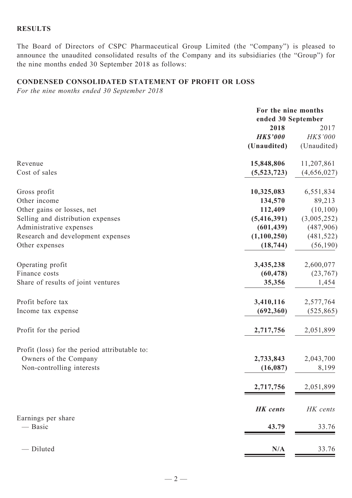#### **RESULTS**

The Board of Directors of CSPC Pharmaceutical Group Limited (the "Company") is pleased to announce the unaudited consolidated results of the Company and its subsidiaries (the "Group") for the nine months ended 30 September 2018 as follows:

### **CONDENSED CONSOLIDATED Statement of profit or loss**

*For the nine months ended 30 September 2018*

|                                               | For the nine months<br>ended 30 September |                                 |
|-----------------------------------------------|-------------------------------------------|---------------------------------|
|                                               | 2018<br><b>HK\$'000</b><br>(Unaudited)    | 2017<br>HK\$'000<br>(Unaudited) |
|                                               |                                           |                                 |
| Revenue                                       | 15,848,806                                | 11,207,861                      |
| Cost of sales                                 | (5,523,723)                               | (4,656,027)                     |
| Gross profit                                  | 10,325,083                                | 6,551,834                       |
| Other income                                  | 134,570                                   | 89,213                          |
| Other gains or losses, net                    | 112,409                                   | (10, 100)                       |
| Selling and distribution expenses             | (5,416,391)                               | (3,005,252)                     |
| Administrative expenses                       | (601, 439)                                | (487,906)                       |
| Research and development expenses             | (1,100,250)                               | (481, 522)                      |
| Other expenses                                | (18, 744)                                 | (56, 190)                       |
| Operating profit                              | 3,435,238                                 | 2,600,077                       |
| Finance costs                                 | (60, 478)                                 | (23,767)                        |
| Share of results of joint ventures            | 35,356                                    | 1,454                           |
| Profit before tax                             | 3,410,116                                 | 2,577,764                       |
| Income tax expense                            | (692, 360)                                | (525, 865)                      |
| Profit for the period                         | 2,717,756                                 | 2,051,899                       |
| Profit (loss) for the period attributable to: |                                           |                                 |
| Owners of the Company                         | 2,733,843                                 | 2,043,700                       |
| Non-controlling interests                     | (16, 087)                                 | 8,199                           |
|                                               | 2,717,756                                 | 2,051,899                       |
|                                               | <b>HK</b> cents                           | HK cents                        |
| Earnings per share                            |                                           |                                 |
| — Basic                                       | 43.79                                     | 33.76                           |
| - Diluted                                     | N/A                                       | 33.76                           |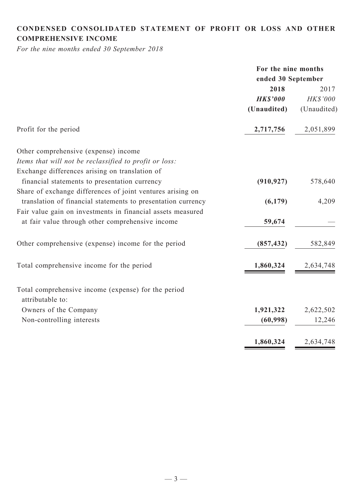# **CONDENSED CONSOLIDATED statement of Profit or Loss and Other comprehensive income**

*For the nine months ended 30 September 2018*

|                                                              | For the nine months |             |
|--------------------------------------------------------------|---------------------|-------------|
|                                                              | ended 30 September  |             |
|                                                              | 2018                | 2017        |
|                                                              | <b>HK\$'000</b>     | HK\$'000    |
|                                                              | (Unaudited)         | (Unaudited) |
| Profit for the period                                        | 2,717,756           | 2,051,899   |
| Other comprehensive (expense) income                         |                     |             |
| Items that will not be reclassified to profit or loss:       |                     |             |
| Exchange differences arising on translation of               |                     |             |
| financial statements to presentation currency                | (910, 927)          | 578,640     |
| Share of exchange differences of joint ventures arising on   |                     |             |
| translation of financial statements to presentation currency | (6,179)             | 4,209       |
| Fair value gain on investments in financial assets measured  |                     |             |
| at fair value through other comprehensive income             | 59,674              |             |
| Other comprehensive (expense) income for the period          | (857, 432)          | 582,849     |
| Total comprehensive income for the period                    | 1,860,324           | 2,634,748   |
| Total comprehensive income (expense) for the period          |                     |             |
| attributable to:                                             |                     |             |
| Owners of the Company                                        | 1,921,322           | 2,622,502   |
| Non-controlling interests                                    | (60, 998)           | 12,246      |
|                                                              | 1,860,324           | 2,634,748   |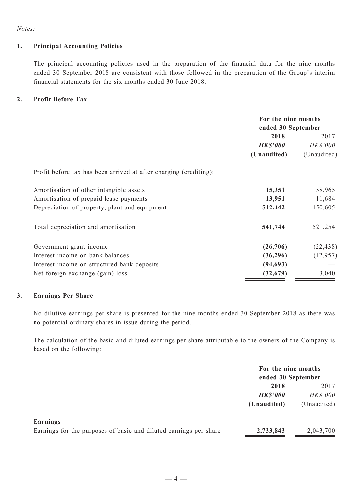*Notes:*

#### **1. Principal Accounting Policies**

The principal accounting policies used in the preparation of the financial data for the nine months ended 30 September 2018 are consistent with those followed in the preparation of the Group's interim financial statements for the six months ended 30 June 2018.

#### **2. Profit Before Tax**

|                                                                   |                 | For the nine months<br>ended 30 September |  |
|-------------------------------------------------------------------|-----------------|-------------------------------------------|--|
|                                                                   | 2018            | 2017                                      |  |
|                                                                   | <b>HK\$'000</b> | HK\$'000                                  |  |
|                                                                   | (Unaudited)     | (Unaudited)                               |  |
| Profit before tax has been arrived at after charging (crediting): |                 |                                           |  |
| Amortisation of other intangible assets                           | 15,351          | 58,965                                    |  |
| Amortisation of prepaid lease payments                            | 13,951          | 11,684                                    |  |
| Depreciation of property, plant and equipment                     | 512,442         | 450,605                                   |  |
| Total depreciation and amortisation                               | 541,744         | 521,254                                   |  |
| Government grant income                                           | (26,706)        | (22, 438)                                 |  |
| Interest income on bank balances                                  | (36,296)        | (12, 957)                                 |  |
| Interest income on structured bank deposits                       | (94, 693)       |                                           |  |
| Net foreign exchange (gain) loss                                  | (32, 679)       | 3,040                                     |  |

#### **3. Earnings Per Share**

No dilutive earnings per share is presented for the nine months ended 30 September 2018 as there was no potential ordinary shares in issue during the period.

The calculation of the basic and diluted earnings per share attributable to the owners of the Company is based on the following:

|                                                                   | For the nine months<br>ended 30 September |                 |  |
|-------------------------------------------------------------------|-------------------------------------------|-----------------|--|
|                                                                   |                                           |                 |  |
|                                                                   | 2018                                      | 2017            |  |
|                                                                   | <b>HK\$'000</b>                           | <b>HK\$'000</b> |  |
|                                                                   | (Unaudited)                               | (Unaudited)     |  |
| Earnings                                                          |                                           |                 |  |
| Earnings for the purposes of basic and diluted earnings per share | 2,733,843                                 | 2,043,700       |  |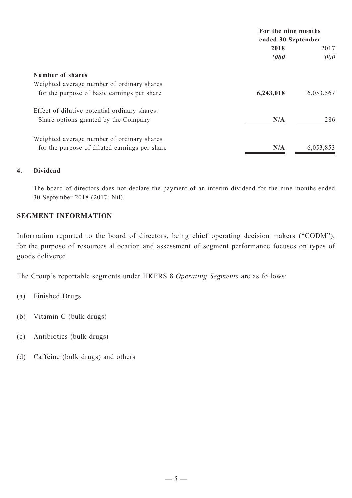|                                               | For the nine months<br>ended 30 September |           |
|-----------------------------------------------|-------------------------------------------|-----------|
|                                               |                                           |           |
|                                               | 2018                                      |           |
|                                               | $\boldsymbol{v}$                          | 000'      |
| <b>Number of shares</b>                       |                                           |           |
| Weighted average number of ordinary shares    |                                           |           |
| for the purpose of basic earnings per share   | 6,243,018                                 | 6,053,567 |
| Effect of dilutive potential ordinary shares: |                                           |           |
| Share options granted by the Company          | N/A                                       | 286       |
| Weighted average number of ordinary shares    |                                           |           |
| for the purpose of diluted earnings per share | N/A                                       | 6,053,853 |

### **4. Dividend**

The board of directors does not declare the payment of an interim dividend for the nine months ended 30 September 2018 (2017: Nil).

#### **SEGMENT INFORMATION**

Information reported to the board of directors, being chief operating decision makers ("CODM"), for the purpose of resources allocation and assessment of segment performance focuses on types of goods delivered.

The Group's reportable segments under HKFRS 8 *Operating Segments* are as follows:

- (a) Finished Drugs
- (b) Vitamin C (bulk drugs)
- (c) Antibiotics (bulk drugs)
- (d) Caffeine (bulk drugs) and others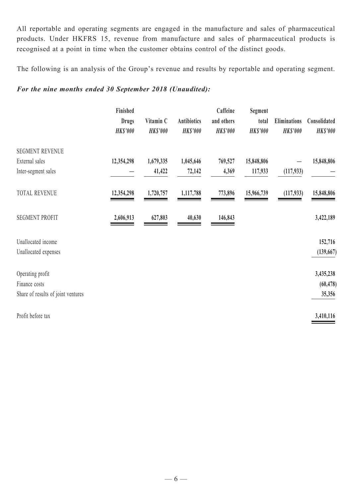All reportable and operating segments are engaged in the manufacture and sales of pharmaceutical products. Under HKFRS 15, revenue from manufacture and sales of pharmaceutical products is recognised at a point in time when the customer obtains control of the distinct goods.

The following is an analysis of the Group's revenue and results by reportable and operating segment.

# *For the nine months ended 30 September 2018 (Unaudited):*

|                                    | Finished        |                 |                 | Caffeine        | Segment         |                 |                 |
|------------------------------------|-----------------|-----------------|-----------------|-----------------|-----------------|-----------------|-----------------|
|                                    | <b>Drugs</b>    | Vitamin C       | Antibiotics     | and others      | total           | Eliminations    | Consolidated    |
|                                    | <b>HK\$'000</b> | <b>HK\$'000</b> | <b>HK\$'000</b> | <b>HK\$'000</b> | <b>HK\$'000</b> | <b>HK\$'000</b> | <b>HK\$'000</b> |
| <b>SEGMENT REVENUE</b>             |                 |                 |                 |                 |                 |                 |                 |
| External sales                     | 12,354,298      | 1,679,335       | 1,045,646       | 769,527         | 15,848,806      |                 | 15,848,806      |
| Inter-segment sales                |                 | 41,422          | 72,142          | 4,369           | 117,933         | (117, 933)      |                 |
| <b>TOTAL REVENUE</b>               | 12,354,298      | 1,720,757       | 1,117,788       | 773,896         | 15,966,739      | (117, 933)      | 15,848,806      |
| <b>SEGMENT PROFIT</b>              | 2,606,913       | 627,803         | 40,630          | 146,843         |                 |                 | 3,422,189       |
| Unallocated income                 |                 |                 |                 |                 |                 |                 | 152,716         |
| Unallocated expenses               |                 |                 |                 |                 |                 |                 | (139, 667)      |
| Operating profit                   |                 |                 |                 |                 |                 |                 | 3,435,238       |
| Finance costs                      |                 |                 |                 |                 |                 |                 | (60, 478)       |
| Share of results of joint ventures |                 |                 |                 |                 |                 |                 | 35,356          |
| Profit before tax                  |                 |                 |                 |                 |                 |                 | 3,410,116       |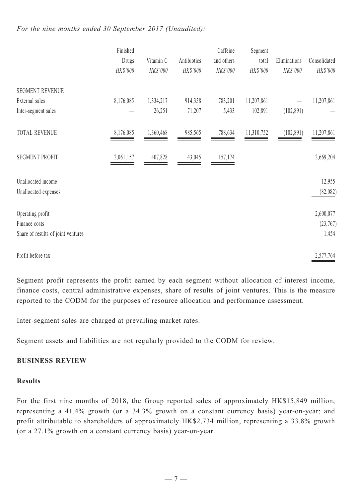#### *For the nine months ended 30 September 2017 (Unaudited):*

|                                    | Finished  |           |             | Caffeine   | Segment    |              |              |
|------------------------------------|-----------|-----------|-------------|------------|------------|--------------|--------------|
|                                    | Drugs     | Vitamin C | Antibiotics | and others | total      | Eliminations | Consolidated |
|                                    | HK\$'000  | HK\$'000  | HK\$'000    | HK\$'000   | HK\$'000   | HK\$'000     | HK\$'000     |
| <b>SEGMENT REVENUE</b>             |           |           |             |            |            |              |              |
| External sales                     | 8,176,085 | 1,334,217 | 914,358     | 783,201    | 11,207,861 |              | 11,207,861   |
| Inter-segment sales                |           | 26,251    | 71,207      | 5,433      | 102,891    | (102, 891)   |              |
| <b>TOTAL REVENUE</b>               | 8,176,085 | 1,360,468 | 985,565     | 788,634    | 11,310,752 | (102, 891)   | 11,207,861   |
| <b>SEGMENT PROFIT</b>              | 2,061,157 | 407,828   | 43,045      | 157,174    |            |              | 2,669,204    |
| Unallocated income                 |           |           |             |            |            |              | 12,955       |
| Unallocated expenses               |           |           |             |            |            |              | (82,082)     |
| Operating profit                   |           |           |             |            |            |              | 2,600,077    |
| Finance costs                      |           |           |             |            |            |              | (23,767)     |
| Share of results of joint ventures |           |           |             |            |            |              | 1,454        |
| Profit before tax                  |           |           |             |            |            |              | 2,577,764    |

Segment profit represents the profit earned by each segment without allocation of interest income, finance costs, central administrative expenses, share of results of joint ventures. This is the measure reported to the CODM for the purposes of resource allocation and performance assessment.

Inter-segment sales are charged at prevailing market rates.

Segment assets and liabilities are not regularly provided to the CODM for review.

#### **BUSINESS REVIEW**

#### **Results**

For the first nine months of 2018, the Group reported sales of approximately HK\$15,849 million, representing a 41.4% growth (or a 34.3% growth on a constant currency basis) year-on-year; and profit attributable to shareholders of approximately HK\$2,734 million, representing a 33.8% growth (or a 27.1% growth on a constant currency basis) year-on-year.